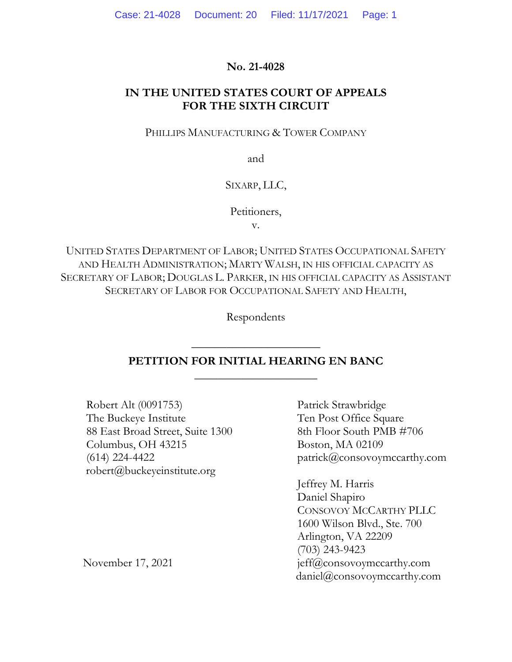# **No. 21-4028**

# **IN THE UNITED STATES COURT OF APPEALS FOR THE SIXTH CIRCUIT**

### PHILLIPS MANUFACTURING & TOWER COMPANY

and

## SIXARP, LLC,

Petitioners,

v.

UNITED STATES DEPARTMENT OF LABOR; UNITED STATES OCCUPATIONAL SAFETY AND HEALTH ADMINISTRATION; MARTY WALSH, IN HIS OFFICIAL CAPACITY AS SECRETARY OF LABOR; DOUGLAS L. PARKER, IN HIS OFFICIAL CAPACITY AS ASSISTANT SECRETARY OF LABOR FOR OCCUPATIONAL SAFETY AND HEALTH,

Respondents

# **PETITION FOR INITIAL HEARING EN BANC \_\_\_\_\_\_\_\_\_\_\_\_\_\_\_\_\_\_\_\_\_**

**\_\_\_\_\_\_\_\_\_\_\_\_\_\_\_\_\_\_\_\_\_\_**

Robert Alt (0091753) The Buckeye Institute 88 East Broad Street, Suite 1300 Columbus, OH 43215 (614) 224-4422 robert@buckeyeinstitute.org

Patrick Strawbridge Ten Post Office Square 8th Floor South PMB #706 Boston, MA 02109 patrick@consovoymccarthy.com

Jeffrey M. Harris Daniel Shapiro CONSOVOY MCCARTHY PLLC 1600 Wilson Blvd., Ste. 700 Arlington, VA 22209 (703) 243-9423 jeff@consovoymccarthy.com daniel@consovoymccarthy.com

November 17, 2021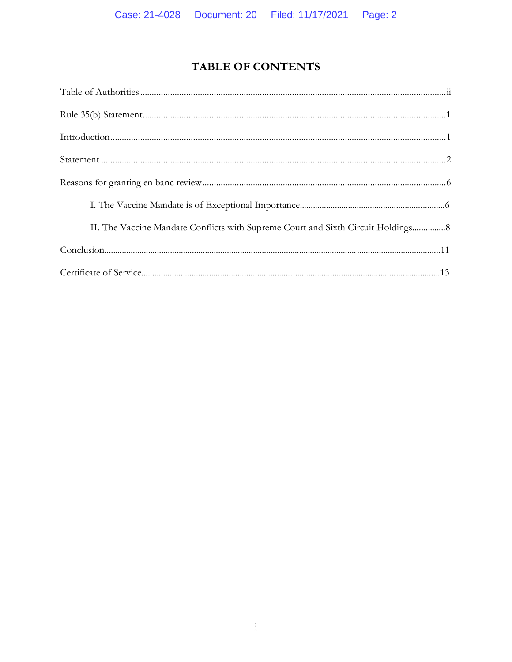# TABLE OF CONTENTS

| II. The Vaccine Mandate Conflicts with Supreme Court and Sixth Circuit Holdings 8 |
|-----------------------------------------------------------------------------------|
|                                                                                   |
|                                                                                   |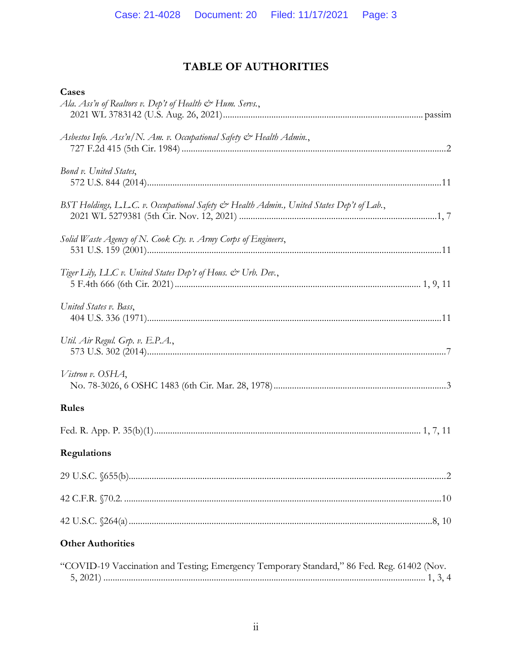# **TABLE OF AUTHORITIES**

<span id="page-2-0"></span>

| Cases                                                                                      |
|--------------------------------------------------------------------------------------------|
| Ala. Ass'n of Realtors v. Dep't of Health & Hum. Servs.,                                   |
|                                                                                            |
| Asbestos Info. Ass'n/N. Am. v. Occupational Safety & Health Admin.,                        |
| Bond v. United States,                                                                     |
| BST Holdings, L.L.C. v. Occupational Safety & Health Admin., United States Dep't of Lab.,  |
| Solid Waste Agency of N. Cook Cty. v. Army Corps of Engineers,                             |
| Tiger Lily, LLC v. United States Dep't of Hous. & Urb. Dev.,                               |
| United States v. Bass,                                                                     |
| Util. Air Regul. Grp. v. E.P.A.,                                                           |
| Vistron v. OSHA,                                                                           |
| Rules                                                                                      |
|                                                                                            |
| Regulations                                                                                |
|                                                                                            |
|                                                                                            |
|                                                                                            |
| <b>Other Authorities</b>                                                                   |
| "COVID-19 Vaccination and Testing; Emergency Temporary Standard," 86 Fed. Reg. 61402 (Nov. |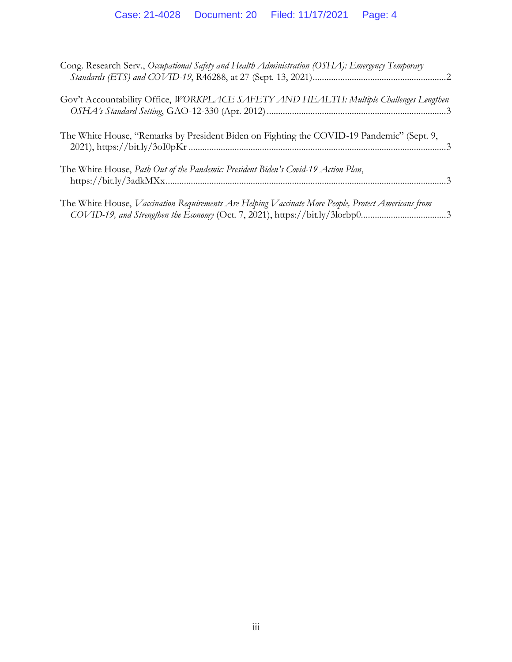| Cong. Research Serv., Occupational Safety and Health Administration (OSHA): Emergency Temporary                                                                                     |  |
|-------------------------------------------------------------------------------------------------------------------------------------------------------------------------------------|--|
| Gov't Accountability Office, WORKPLACE SAFETY AND HEALTH: Multiple Challenges Lengthen                                                                                              |  |
| The White House, "Remarks by President Biden on Fighting the COVID-19 Pandemic" (Sept. 9,                                                                                           |  |
| The White House, Path Out of the Pandemic: President Biden's Covid-19 Action Plan,                                                                                                  |  |
| The White House, Vaccination Requirements Are Helping Vaccinate More People, Protect Americans from<br>COVID-19, and Strengthen the Economy (Oct. 7, 2021), https://bit.ly/3lorbp03 |  |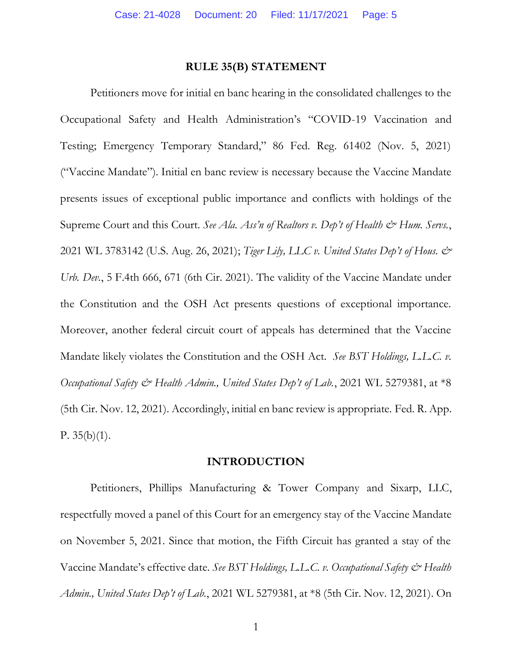#### **RULE 35(B) STATEMENT**

<span id="page-4-0"></span>Petitioners move for initial en banc hearing in the consolidated challenges to the Occupational Safety and Health Administration's "COVID-19 Vaccination and Testing; Emergency Temporary Standard," 86 Fed. Reg. 61402 (Nov. 5, 2021) ("Vaccine Mandate"). Initial en banc review is necessary because the Vaccine Mandate presents issues of exceptional public importance and conflicts with holdings of the Supreme Court and this Court. *See Ala. Ass'n of Realtors v. Dep't of Health & Hum. Servs.*, 2021 WL 3783142 (U.S. Aug. 26, 2021); *Tiger Lily, LLC v. United States Dep't of Hous. & Urb. Dev.*, 5 F.4th 666, 671 (6th Cir. 2021). The validity of the Vaccine Mandate under the Constitution and the OSH Act presents questions of exceptional importance. Moreover, another federal circuit court of appeals has determined that the Vaccine Mandate likely violates the Constitution and the OSH Act. *See BST Holdings, L.L.C. v. Occupational Safety & Health Admin., United States Dep't of Lab.*, 2021 WL 5279381, at \*8 (5th Cir. Nov. 12, 2021). Accordingly, initial en banc review is appropriate. Fed. R. App. P.  $35(b)(1)$ .

#### **INTRODUCTION**

<span id="page-4-1"></span>Petitioners, Phillips Manufacturing & Tower Company and Sixarp, LLC, respectfully moved a panel of this Court for an emergency stay of the Vaccine Mandate on November 5, 2021. Since that motion, the Fifth Circuit has granted a stay of the Vaccine Mandate's effective date. *See BST Holdings, L.L.C. v. Occupational Safety & Health Admin., United States Dep't of Lab.*, 2021 WL 5279381, at \*8 (5th Cir. Nov. 12, 2021). On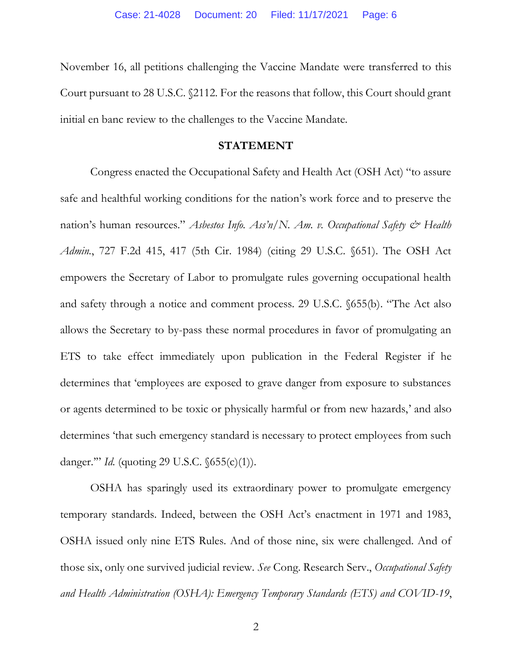November 16, all petitions challenging the Vaccine Mandate were transferred to this Court pursuant to 28 U.S.C. §2112. For the reasons that follow, this Court should grant initial en banc review to the challenges to the Vaccine Mandate.

#### **STATEMENT**

<span id="page-5-0"></span>Congress enacted the Occupational Safety and Health Act (OSH Act) "to assure safe and healthful working conditions for the nation's work force and to preserve the nation's human resources." *Asbestos Info. Ass'n/N. Am. v. Occupational Safety & Health Admin.*, 727 F.2d 415, 417 (5th Cir. 1984) (citing 29 U.S.C. §651). The OSH Act empowers the Secretary of Labor to promulgate rules governing occupational health and safety through a notice and comment process. 29 U.S.C. §655(b). "The Act also allows the Secretary to by-pass these normal procedures in favor of promulgating an ETS to take effect immediately upon publication in the Federal Register if he determines that 'employees are exposed to grave danger from exposure to substances or agents determined to be toxic or physically harmful or from new hazards,' and also determines 'that such emergency standard is necessary to protect employees from such danger.'" *Id.* (quoting 29 U.S.C. §655(c)(1)).

OSHA has sparingly used its extraordinary power to promulgate emergency temporary standards. Indeed, between the OSH Act's enactment in 1971 and 1983, OSHA issued only nine ETS Rules. And of those nine, six were challenged. And of those six, only one survived judicial review. *See* Cong. Research Serv., *Occupational Safety and Health Administration (OSHA): Emergency Temporary Standards (ETS) and COVID-19*,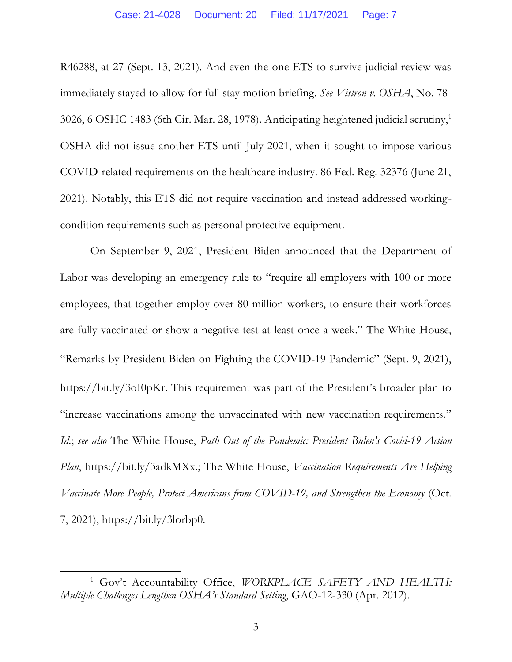R46288, at 27 (Sept. 13, 2021). And even the one ETS to survive judicial review was immediately stayed to allow for full stay motion briefing. *See Vistron v. OSHA*, No. 78- 3026, 6 OSHC 1483 (6th Cir. Mar. 28, 1978). Anticipating heightened judicial scrutiny,<sup>1</sup> OSHA did not issue another ETS until July 2021, when it sought to impose various COVID-related requirements on the healthcare industry. 86 Fed. Reg. 32376 (June 21, 2021). Notably, this ETS did not require vaccination and instead addressed workingcondition requirements such as personal protective equipment.

On September 9, 2021, President Biden announced that the Department of Labor was developing an emergency rule to "require all employers with 100 or more employees, that together employ over 80 million workers, to ensure their workforces are fully vaccinated or show a negative test at least once a week." The White House, "Remarks by President Biden on Fighting the COVID-19 Pandemic" (Sept. 9, 2021), https://bit.ly/3oI0pKr. This requirement was part of the President's broader plan to "increase vaccinations among the unvaccinated with new vaccination requirements." *Id.*; *see also* The White House, *Path Out of the Pandemic: President Biden's Covid-19 Action Plan*, https://bit.ly/3adkMXx.; The White House, *Vaccination Requirements Are Helping Vaccinate More People, Protect Americans from COVID-19, and Strengthen the Economy* (Oct. 7, 2021), https://bit.ly/3lorbp0.

<sup>&</sup>lt;sup>1</sup> Gov't Accountability Office, *WORKPLACE SAFETY AND HEALTH: Multiple Challenges Lengthen OSHA's Standard Setting*, GAO-12-330 (Apr. 2012).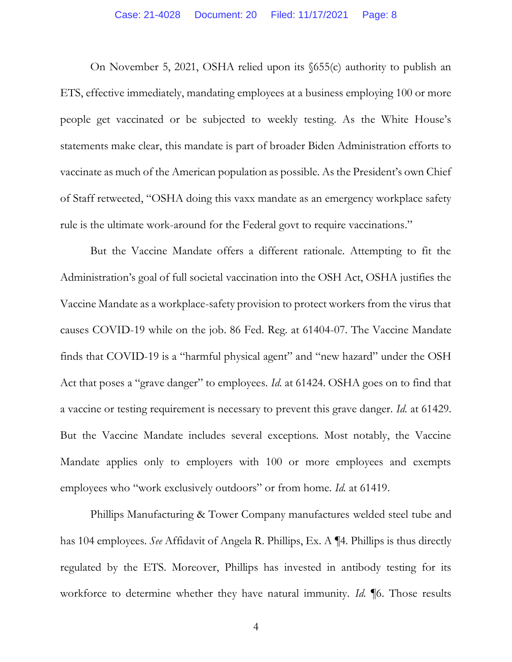On November 5, 2021, OSHA relied upon its §655(c) authority to publish an ETS, effective immediately, mandating employees at a business employing 100 or more people get vaccinated or be subjected to weekly testing. As the White House's statements make clear, this mandate is part of broader Biden Administration efforts to vaccinate as much of the American population as possible. As the President's own Chief of Staff retweeted, "OSHA doing this vaxx mandate as an emergency workplace safety rule is the ultimate work-around for the Federal govt to require vaccinations."

But the Vaccine Mandate offers a different rationale. Attempting to fit the Administration's goal of full societal vaccination into the OSH Act, OSHA justifies the Vaccine Mandate as a workplace-safety provision to protect workers from the virus that causes COVID-19 while on the job. 86 Fed. Reg. at 61404-07. The Vaccine Mandate finds that COVID-19 is a "harmful physical agent" and "new hazard" under the OSH Act that poses a "grave danger" to employees. *Id.* at 61424. OSHA goes on to find that a vaccine or testing requirement is necessary to prevent this grave danger. *Id.* at 61429. But the Vaccine Mandate includes several exceptions. Most notably, the Vaccine Mandate applies only to employers with 100 or more employees and exempts employees who "work exclusively outdoors" or from home. *Id.* at 61419.

Phillips Manufacturing & Tower Company manufactures welded steel tube and has 104 employees. *See* Affidavit of Angela R. Phillips, Ex. A ¶4. Phillips is thus directly regulated by the ETS. Moreover, Phillips has invested in antibody testing for its workforce to determine whether they have natural immunity. *Id.* ¶6. Those results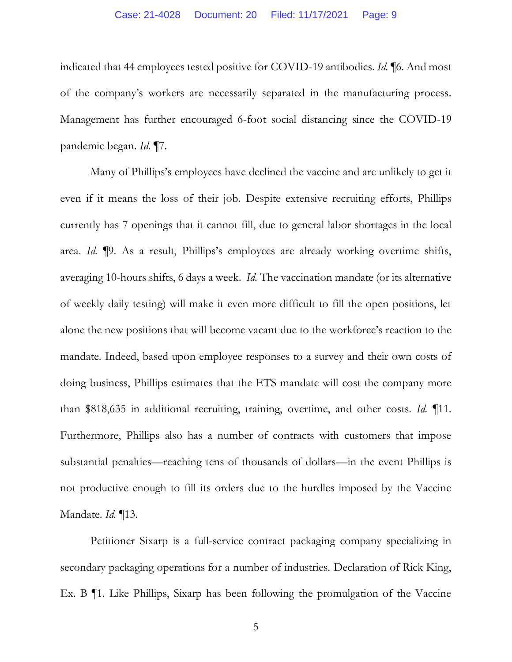#### Case: 21-4028 Document: 20 Filed: 11/17/2021 Page: 9

indicated that 44 employees tested positive for COVID-19 antibodies. *Id.* ¶6. And most of the company's workers are necessarily separated in the manufacturing process. Management has further encouraged 6-foot social distancing since the COVID-19 pandemic began. *Id.* ¶7.

Many of Phillips's employees have declined the vaccine and are unlikely to get it even if it means the loss of their job. Despite extensive recruiting efforts, Phillips currently has 7 openings that it cannot fill, due to general labor shortages in the local area. *Id.* ¶9. As a result, Phillips's employees are already working overtime shifts, averaging 10-hours shifts, 6 days a week. *Id.* The vaccination mandate (or its alternative of weekly daily testing) will make it even more difficult to fill the open positions, let alone the new positions that will become vacant due to the workforce's reaction to the mandate. Indeed, based upon employee responses to a survey and their own costs of doing business, Phillips estimates that the ETS mandate will cost the company more than \$818,635 in additional recruiting, training, overtime, and other costs. *Id.* ¶11. Furthermore, Phillips also has a number of contracts with customers that impose substantial penalties—reaching tens of thousands of dollars—in the event Phillips is not productive enough to fill its orders due to the hurdles imposed by the Vaccine Mandate. *Id.* ¶13.

Petitioner Sixarp is a full-service contract packaging company specializing in secondary packaging operations for a number of industries. Declaration of Rick King, Ex. B ¶1. Like Phillips, Sixarp has been following the promulgation of the Vaccine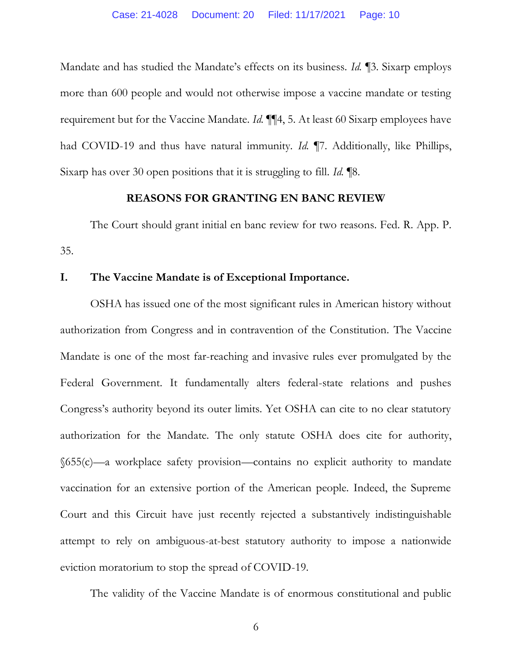Mandate and has studied the Mandate's effects on its business. *Id.* ¶3. Sixarp employs more than 600 people and would not otherwise impose a vaccine mandate or testing requirement but for the Vaccine Mandate. *Id.* ¶¶4, 5. At least 60 Sixarp employees have had COVID-19 and thus have natural immunity. *Id.* ¶7. Additionally, like Phillips, Sixarp has over 30 open positions that it is struggling to fill. *Id.* ¶8.

#### **REASONS FOR GRANTING EN BANC REVIEW**

<span id="page-9-0"></span>The Court should grant initial en banc review for two reasons. Fed. R. App. P. 35.

### **I. The Vaccine Mandate is of Exceptional Importance.**

OSHA has issued one of the most significant rules in American history without authorization from Congress and in contravention of the Constitution. The Vaccine Mandate is one of the most far-reaching and invasive rules ever promulgated by the Federal Government. It fundamentally alters federal-state relations and pushes Congress's authority beyond its outer limits. Yet OSHA can cite to no clear statutory authorization for the Mandate. The only statute OSHA does cite for authority, §655(c)—a workplace safety provision—contains no explicit authority to mandate vaccination for an extensive portion of the American people. Indeed, the Supreme Court and this Circuit have just recently rejected a substantively indistinguishable attempt to rely on ambiguous-at-best statutory authority to impose a nationwide eviction moratorium to stop the spread of COVID-19.

The validity of the Vaccine Mandate is of enormous constitutional and public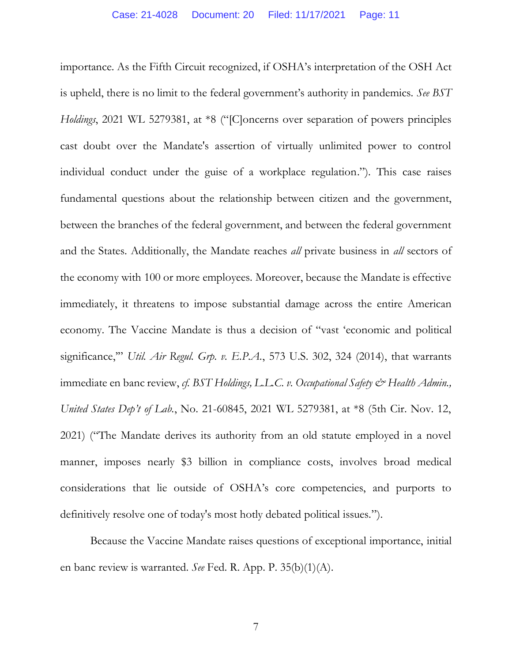importance. As the Fifth Circuit recognized, if OSHA's interpretation of the OSH Act is upheld, there is no limit to the federal government's authority in pandemics. *See BST Holdings*, 2021 WL 5279381, at \*8 ("[C]oncerns over separation of powers principles cast doubt over the Mandate's assertion of virtually unlimited power to control individual conduct under the guise of a workplace regulation."). This case raises fundamental questions about the relationship between citizen and the government, between the branches of the federal government, and between the federal government and the States. Additionally, the Mandate reaches *all* private business in *all* sectors of the economy with 100 or more employees. Moreover, because the Mandate is effective immediately, it threatens to impose substantial damage across the entire American economy. The Vaccine Mandate is thus a decision of "vast 'economic and political significance,'" *Util. Air Regul. Grp. v. E.P.A.*, 573 U.S. 302, 324 (2014), that warrants immediate en banc review, *cf. BST Holdings, L.L.C. v. Occupational Safety & Health Admin.*, *United States Dep't of Lab.*, No. 21-60845, 2021 WL 5279381, at \*8 (5th Cir. Nov. 12, 2021) ("The Mandate derives its authority from an old statute employed in a novel manner, imposes nearly \$3 billion in compliance costs, involves broad medical considerations that lie outside of OSHA's core competencies, and purports to definitively resolve one of today's most hotly debated political issues.").

Because the Vaccine Mandate raises questions of exceptional importance, initial en banc review is warranted. *See* Fed. R. App. P. 35(b)(1)(A).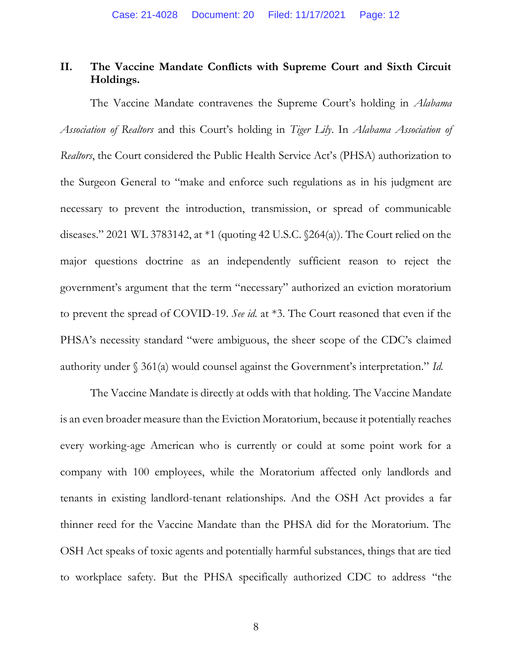## **II. The Vaccine Mandate Conflicts with Supreme Court and Sixth Circuit Holdings.**

The Vaccine Mandate contravenes the Supreme Court's holding in *Alabama Association of Realtors* and this Court's holding in *Tiger Lily*. In *Alabama Association of Realtors*, the Court considered the Public Health Service Act's (PHSA) authorization to the Surgeon General to "make and enforce such regulations as in his judgment are necessary to prevent the introduction, transmission, or spread of communicable diseases." 2021 WL 3783142, at \*1 (quoting 42 U.S.C. §264(a)). The Court relied on the major questions doctrine as an independently sufficient reason to reject the government's argument that the term "necessary" authorized an eviction moratorium to prevent the spread of COVID-19. *See id.* at \*3. The Court reasoned that even if the PHSA's necessity standard "were ambiguous, the sheer scope of the CDC's claimed authority under § 361(a) would counsel against the Government's interpretation." *Id.* 

The Vaccine Mandate is directly at odds with that holding. The Vaccine Mandate is an even broader measure than the Eviction Moratorium, because it potentially reaches every working-age American who is currently or could at some point work for a company with 100 employees, while the Moratorium affected only landlords and tenants in existing landlord-tenant relationships. And the OSH Act provides a far thinner reed for the Vaccine Mandate than the PHSA did for the Moratorium. The OSH Act speaks of toxic agents and potentially harmful substances, things that are tied to workplace safety. But the PHSA specifically authorized CDC to address "the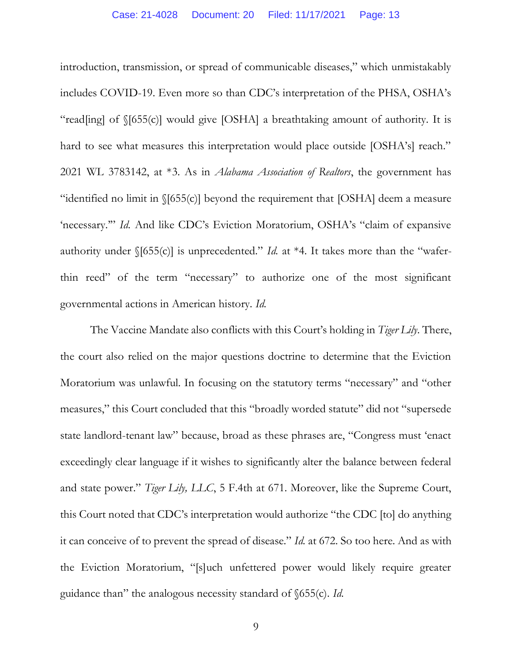introduction, transmission, or spread of communicable diseases," which unmistakably includes COVID-19. Even more so than CDC's interpretation of the PHSA, OSHA's "read[ing] of §[655(c)] would give [OSHA] a breathtaking amount of authority. It is hard to see what measures this interpretation would place outside [OSHA's] reach." 2021 WL 3783142, at \*3. As in *Alabama Association of Realtors*, the government has "identified no limit in §[655(c)] beyond the requirement that [OSHA] deem a measure 'necessary."" *Id.* And like CDC's Eviction Moratorium, OSHA's "claim of expansive authority under §[655(c)] is unprecedented." *Id.* at \*4. It takes more than the "waferthin reed" of the term "necessary" to authorize one of the most significant governmental actions in American history. *Id.*

The Vaccine Mandate also conflicts with this Court's holding in *Tiger Lily*. There, the court also relied on the major questions doctrine to determine that the Eviction Moratorium was unlawful. In focusing on the statutory terms "necessary" and "other measures," this Court concluded that this "broadly worded statute" did not "supersede state landlord-tenant law" because, broad as these phrases are, "Congress must 'enact exceedingly clear language if it wishes to significantly alter the balance between federal and state power." *Tiger Lily, LLC*, 5 F.4th at 671. Moreover, like the Supreme Court, this Court noted that CDC's interpretation would authorize "the CDC [to] do anything it can conceive of to prevent the spread of disease." *Id.* at 672. So too here. And as with the Eviction Moratorium, "[s]uch unfettered power would likely require greater guidance than" the analogous necessity standard of §655(c). *Id.*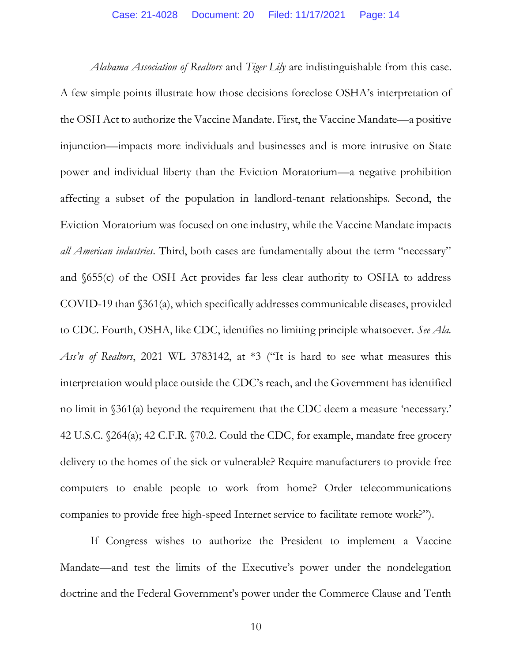*Alabama Association of Realtors* and *Tiger Lily* are indistinguishable from this case. A few simple points illustrate how those decisions foreclose OSHA's interpretation of the OSH Act to authorize the Vaccine Mandate. First, the Vaccine Mandate—a positive injunction—impacts more individuals and businesses and is more intrusive on State power and individual liberty than the Eviction Moratorium—a negative prohibition affecting a subset of the population in landlord-tenant relationships. Second, the Eviction Moratorium was focused on one industry, while the Vaccine Mandate impacts *all American industries*. Third, both cases are fundamentally about the term "necessary" and §655(c) of the OSH Act provides far less clear authority to OSHA to address COVID-19 than §361(a), which specifically addresses communicable diseases, provided to CDC. Fourth, OSHA, like CDC, identifies no limiting principle whatsoever. *See Ala. Ass'n of Realtors*, 2021 WL 3783142, at \*3 ("It is hard to see what measures this interpretation would place outside the CDC's reach, and the Government has identified no limit in §361(a) beyond the requirement that the CDC deem a measure 'necessary.' 42 U.S.C. §264(a); 42 C.F.R. §70.2. Could the CDC, for example, mandate free grocery delivery to the homes of the sick or vulnerable? Require manufacturers to provide free computers to enable people to work from home? Order telecommunications companies to provide free high-speed Internet service to facilitate remote work?").

If Congress wishes to authorize the President to implement a Vaccine Mandate—and test the limits of the Executive's power under the nondelegation doctrine and the Federal Government's power under the Commerce Clause and Tenth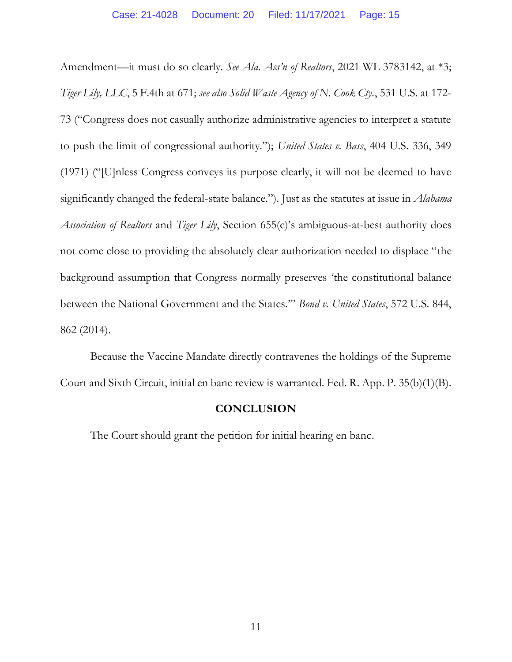Amendment—it must do so clearly. *See Ala. Ass'n of Realtors*, 2021 WL 3783142, at \*3; *Tiger Lily, LLC*, 5 F.4th at 671; *see also Solid Waste Agency of N. Cook Cty.*, 531 U.S. at 172- 73 ("Congress does not casually authorize administrative agencies to interpret a statute to push the limit of congressional authority."); *United States v. Bass*, 404 U.S. 336, 349 (1971) ("[U]nless Congress conveys its purpose clearly, it will not be deemed to have significantly changed the federal-state balance."). Just as the statutes at issue in *Alabama Association of Realtors* and *Tiger Lily*, Section 655(c)'s ambiguous-at-best authority does not come close to providing the absolutely clear authorization needed to displace "the background assumption that Congress normally preserves 'the constitutional balance between the National Government and the States.'" *Bond v. United States*, 572 U.S. 844, 862 (2014).

Because the Vaccine Mandate directly contravenes the holdings of the Supreme Court and Sixth Circuit, initial en banc review is warranted. Fed. R. App. P. 35(b)(1)(B).

#### **CONCLUSION**

The Court should grant the petition for initial hearing en banc.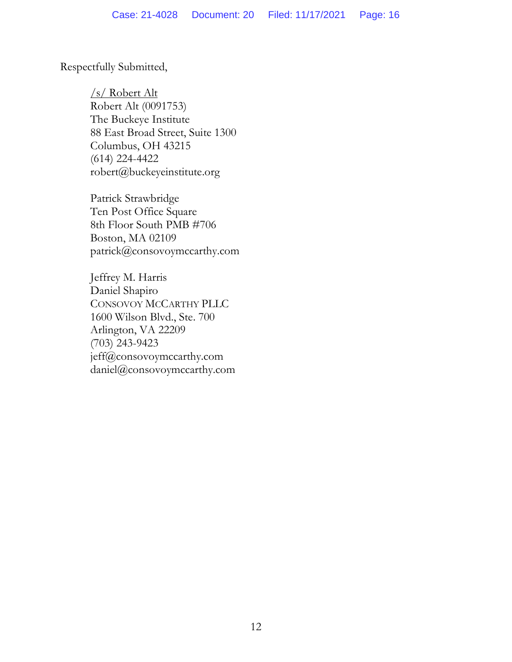Respectfully Submitted,

/s/ Robert Alt Robert Alt (0091753) The Buckeye Institute 88 East Broad Street, Suite 1300 Columbus, OH 43215 (614) 224-4422 robert@buckeyeinstitute.org

Patrick Strawbridge Ten Post Office Square 8th Floor South PMB #706 Boston, MA 02109 patrick@consovoymccarthy.com

Jeffrey M. Harris Daniel Shapiro CONSOVOY MCCARTHY PLLC 1600 Wilson Blvd., Ste. 700 Arlington, VA 22209 (703) 243-9423 jeff@consovoymccarthy.com daniel@consovoymccarthy.com